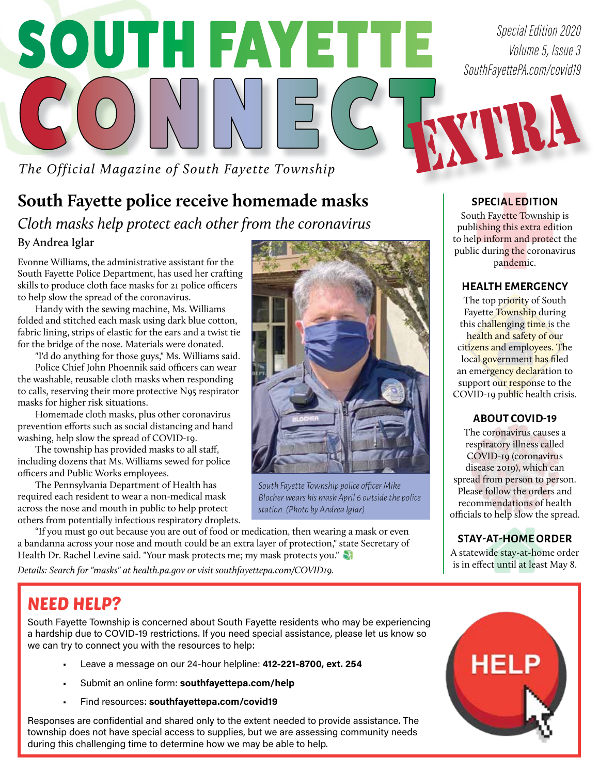# SOUTH FAYETTE CONNECT EXTREE

*The Official Magazine of South Fayette Township*

## **South Fayette police receive homemade masks** *Cloth masks help protect each other from the coronavirus* **By Andrea Iglar**

Evonne Williams, the administrative assistant for the South Fayette Police Department, has used her crafting skills to produce cloth face masks for 21 police officers to help slow the spread of the coronavirus.

Handy with the sewing machine, Ms. Williams folded and stitched each mask using dark blue cotton, fabric lining, strips of elastic for the ears and a twist tie for the bridge of the nose. Materials were donated.

"I'd do anything for those guys," Ms. Williams said.

Police Chief John Phoennik said officers can wear the washable, reusable cloth masks when responding to calls, reserving their more protective N95 respirator masks for higher risk situations.

Homemade cloth masks, plus other coronavirus prevention efforts such as social distancing and hand washing, help slow the spread of COVID-19.

The township has provided masks to all staff, including dozens that Ms. Williams sewed for police officers and Public Works employees.

The Pennsylvania Department of Health has required each resident to wear a non-medical mask across the nose and mouth in public to help protect others from potentially infectious respiratory droplets.

"If you must go out because you are out of food or medication, then wearing a mask or even a bandanna across your nose and mouth could be an extra layer of protection," state Secretary of Health Dr. Rachel Levine said. "Your mask protects me; my mask protects you."

*Details: Search for "masks" at health.pa.gov or visit southfayettepa.com/COVID19.*

*South Fayette Township police officer Mike Blocher wears his mask April 6 outside the police station. (Photo by Andrea Iglar)*

#### **SPECIAL EDITION**

South Fayette Township is publishing this extra edition to help inform and protect the public during the coronavirus pandemic.

#### **HEALTH EMERGENCY**

The top priority of South Fayette Township during this challenging time is the health and safety of our citizens and employees. The local government has filed an emergency declaration to support our response to the COVID-19 public health crisis.

#### **ABOUT COVID-19**

The coronavirus causes a respiratory illness called COVID-19 (coronavirus disease 2019), which can spread from person to person. Please follow the orders and recommendations of health officials to help slow the spread.

**STAY-AT-HOME ORDER**

A statewide stay-at-home order is in effect until at least May 8.

## NEED HELP?

South Fayette Township is concerned about South Fayette residents who may be experiencing a hardship due to COVID-19 restrictions. If you need special assistance, please let us know so we can try to connect you with the resources to help:

- Leave a message on our 24-hour helpline: **412-221-8700, ext. 254**
- Submit an online form: **southfayettepa.com/help**
- Find resources: **southfayettepa.com/covid19**

Responses are confidential and shared only to the extent needed to provide assistance. The township does not have special access to supplies, but we are assessing community needs during this challenging time to determine how we may be able to help.



*Special Edition 2020 Volume 5, Issue 3 SouthFayettePA.com/covid19*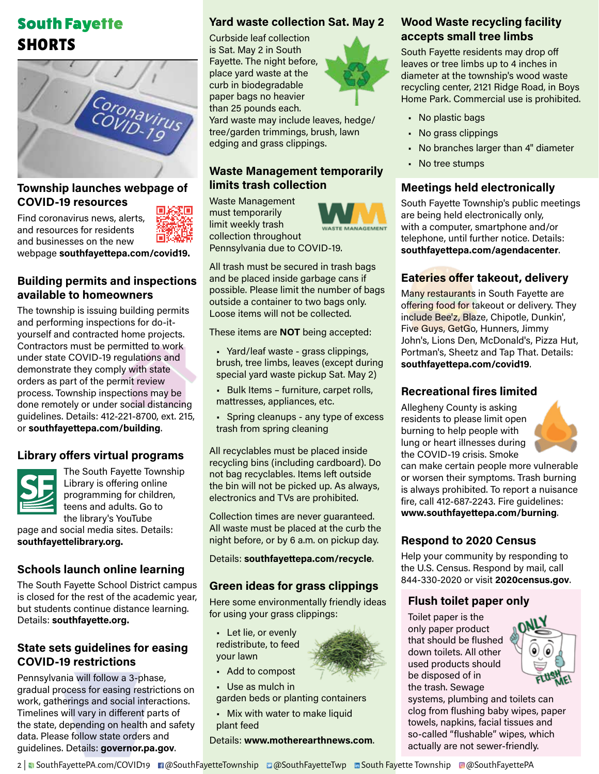## South Fayette SHORTS



#### **Township launches webpage of COVID-19 resources**

Find coronavirus news, alerts, and resources for residents and businesses on the new

webpage **southfayettepa.com/covid19.**

#### **Building permits and inspections available to homeowners**

The township is issuing building permits and performing inspections for do-ityourself and contracted home projects. Contractors must be permitted to work under state COVID-19 regulations and demonstrate they comply with state orders as part of the permit review process. Township inspections may be done remotely or under social distancing guidelines. Details: 412-221-8700, ext. 215, or **southfayettepa.com/building**.

#### **Library offers virtual programs**



The South Fayette Township Library is offering online programming for children, teens and adults. Go to the library's YouTube page and social media sites. Details:

**southfayettelibrary.org.**

### **Schools launch online learning**

The South Fayette School District campus is closed for the rest of the academic year, but students continue distance learning. Details: **southfayette.org.**

#### **State sets guidelines for easing COVID-19 restrictions**

Pennsylvania will follow a 3-phase, gradual process for easing restrictions on work, gatherings and social interactions. Timelines will vary in different parts of the state, depending on health and safety data. Please follow state orders and guidelines. Details: **governor.pa.gov**.

#### **Yard waste collection Sat. May 2**

Curbside leaf collection is Sat. May 2 in South Fayette. The night before, place yard waste at the curb in biodegradable paper bags no heavier than 25 pounds each.



Yard waste may include leaves, hedge/ tree/garden trimmings, brush, lawn edging and grass clippings.

#### **Waste Management temporarily limits trash collection**

Waste Management must temporarily limit weekly trash collection throughout



Pennsylvania due to COVID-19.

All trash must be secured in trash bags and be placed inside garbage cans if possible. Please limit the number of bags outside a container to two bags only. Loose items will not be collected.

These items are **NOT** being accepted:

- Yard/leaf waste grass clippings, brush, tree limbs, leaves (except during special yard waste pickup Sat. May 2)
- Bulk Items furniture, carpet rolls, mattresses, appliances, etc.
- Spring cleanups any type of excess trash from spring cleaning

All recyclables must be placed inside recycling bins (including cardboard). Do not bag recyclables. Items left outside the bin will not be picked up. As always, electronics and TVs are prohibited.

Collection times are never guaranteed. All waste must be placed at the curb the night before, or by 6 a.m. on pickup day.

Details: **southfayettepa.com/recycle**.

#### **Green ideas for grass clippings**

Here some environmentally friendly ideas for using your grass clippings:

• Let lie, or evenly redistribute, to feed your lawn

- Add to compost
- Use as mulch in

garden beds or planting containers

• Mix with water to make liquid plant feed

Details: **www.motherearthnews.com**.

#### **Wood Waste recycling facility accepts small tree limbs**

South Fayette residents may drop off leaves or tree limbs up to 4 inches in diameter at the township's wood waste recycling center, 2121 Ridge Road, in Boys Home Park. Commercial use is prohibited.

- No plastic bags
- No grass clippings
- No branches larger than 4" diameter
- No tree stumps

#### **Meetings held electronically**

South Fayette Township's public meetings are being held electronically only, with a computer, smartphone and/or telephone, until further notice. Details: **southfayettepa.com/agendacenter**.

#### **Eateries offer takeout, delivery**

Many restaurants in South Fayette are offering food for takeout or delivery. They include Bee'z, Blaze, Chipotle, Dunkin', Five Guys, GetGo, Hunners, Jimmy John's, Lions Den, McDonald's, Pizza Hut, Portman's, Sheetz and Tap That. Details: **southfayettepa.com/covid19**.

#### **Recreational fires limited**

Allegheny County is asking residents to please limit open burning to help people with lung or heart illnesses during the COVID-19 crisis. Smoke



can make certain people more vulnerable or worsen their symptoms. Trash burning is always prohibited. To report a nuisance fire, call 412-687-2243. Fire guidelines: **www.southfayettepa.com/burning**.

#### **Respond to 2020 Census**

Help your community by responding to the U.S. Census. Respond by mail, call 844-330-2020 or visit **2020census.gov**.

#### **Flush toilet paper only**

Toilet paper is the only paper product that should be flushed down toilets. All other used products should be disposed of in the trash. Sewage



systems, plumbing and toilets can clog from flushing baby wipes, paper towels, napkins, facial tissues and so-called "flushable" wipes, which actually are not sewer-friendly.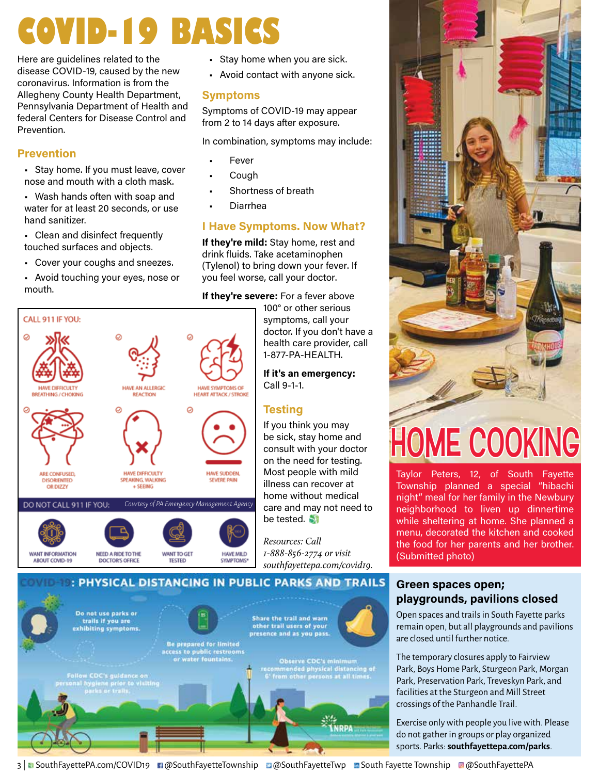## **COVID-19 BASICS**

Here are guidelines related to the disease COVID-19, caused by the new coronavirus. Information is from the Allegheny County Health Department, Pennsylvania Department of Health and federal Centers for Disease Control and Prevention.

#### **Prevention**

- Stay home. If you must leave, cover nose and mouth with a cloth mask.
- Wash hands often with soap and water for at least 20 seconds, or use hand sanitizer.
- Clean and disinfect frequently touched surfaces and objects.
- Cover your coughs and sneezes.
- Avoid touching your eyes, nose or mouth.



- Stay home when you are sick.
- Avoid contact with anyone sick.

#### **Symptoms**

Symptoms of COVID-19 may appear from 2 to 14 days after exposure.

In combination, symptoms may include:

- **Fever**
- **Cough**
- Shortness of breath
- Diarrhea

#### **I Have Symptoms. Now What?**

**If they're mild:** Stay home, rest and drink fluids. Take acetaminophen (Tylenol) to bring down your fever. If you feel worse, call your doctor.

#### **If they're severe:** For a fever above

100° or other serious symptoms, call your doctor. If you don't have a health care provider, call 1-877-PA-HEALTH.

**If it's an emergency:** Call 9-1-1.

### **Testing**

If you think you may be sick, stay home and consult with your doctor on the need for testing. Most people with mild illness can recover at home without medical care and may not need to be tested.

*Resources: Call 1-888-856-2774 or visit southfayettepa.com/covid19.*



# HOME COOKING

Taylor Peters, 12, of South Fayette Township planned a special "hibachi night" meal for her family in the Newbury neighborhood to liven up dinnertime while sheltering at home. She planned a menu, decorated the kitchen and cooked the food for her parents and her brother. (Submitted photo)

#### **Green spaces open; playgrounds, pavilions closed**

Open spaces and trails in South Fayette parks remain open, but all playgrounds and pavilions are closed until further notice.

The temporary closures apply to Fairview Park, Boys Home Park, Sturgeon Park, Morgan Park, Preservation Park, Treveskyn Park, and facilities at the Sturgeon and Mill Street crossings of the Panhandle Trail.

Exercise only with people you live with. Please do not gather in groups or play organized sports. Parks: **southfayettepa.com/parks**.

Do not use parks or Share the trail and warn trails if you are other trail users of your exhibiting symptoms. presence and as you pass. **Be prepared for limited** ccess to public restrooms<br>or water fountains. **Observe CDC's minimum<br>mmended physical distancing of<br>from other persons at all times.** CDC's guidance on<br>ygiene prior to visitin<br>arks or trails. **ÍNRPA** 

: PHYSICAL DISTANCING IN PUBLIC PARKS AND TRAILS

3 | SouthFayettePA.com/COVID19 **n**@SouthFayetteTownship **D@SouthFayetteTwp DESouth Fayette Township** @@SouthFayettePA